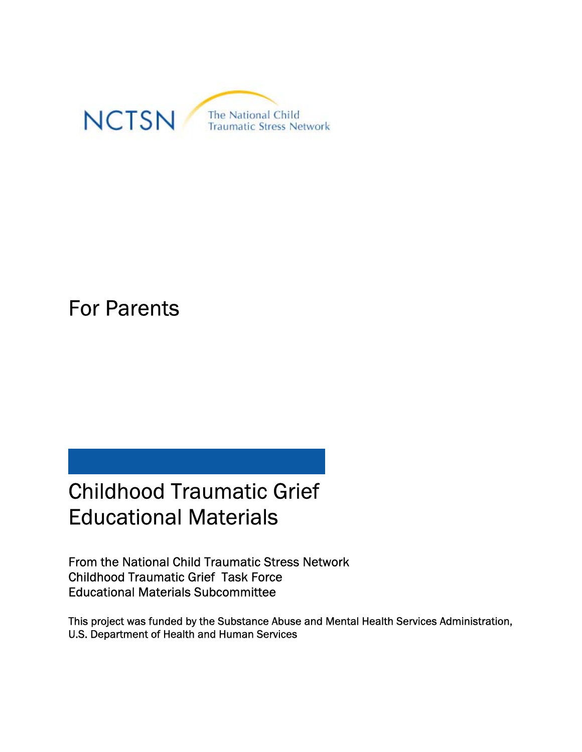

# For Parents

# Childhood Traumatic Grief Educational Materials

From the National Child Traumatic Stress Network Childhood Traumatic Grief Task Force Educational Materials Subcommittee

This project was funded by the Substance Abuse and Mental Health Services Administration, U.S. Department of Health and Human Services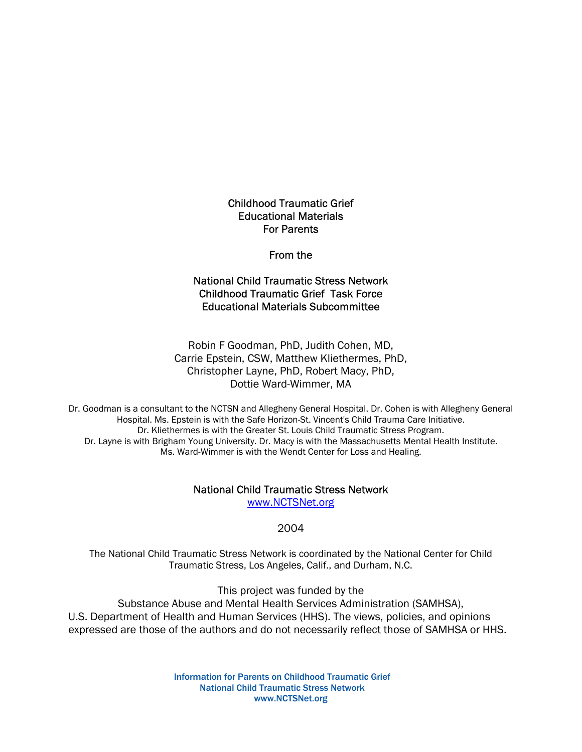Childhood Traumatic Grief Educational Materials For Parents

# From the

# National Child Traumatic Stress Network Childhood Traumatic Grief Task Force Educational Materials Subcommittee

# Robin F Goodman, PhD, Judith Cohen, MD, Carrie Epstein, CSW, Matthew Kliethermes, PhD, Christopher Layne, PhD, Robert Macy, PhD, Dottie Ward-Wimmer, MA

 Dr. Goodman is a consultant to the NCTSN and Allegheny General Hospital. Dr. Cohen is with Allegheny General Hospital. Ms. Epstein is with the Safe Horizon-St. Vincent's Child Trauma Care Initiative. Dr. Kliethermes is with the Greater St. Louis Child Traumatic Stress Program. Dr. Layne is with Brigham Young University. Dr. Macy is with the Massachusetts Mental Health Institute. Ms. Ward-Wimmer is with the Wendt Center for Loss and Healing.

# National Child Traumatic Stress Network

www.NCTSNet.org

# 2004

The National Child Traumatic Stress Network is coordinated by the National Center for Child Traumatic Stress, Los Angeles, Calif., and Durham, N.C.

This project was funded by the

Substance Abuse and Mental Health Services Administration (SAMHSA), U.S. Department of Health and Human Services (HHS). The views, policies, and opinions expressed are those of the authors and do not necessarily reflect those of SAMHSA or HHS.

> Information for Parents on Childhood Traumatic Grief National Child Traumatic Stress Network www.NCTSNet.org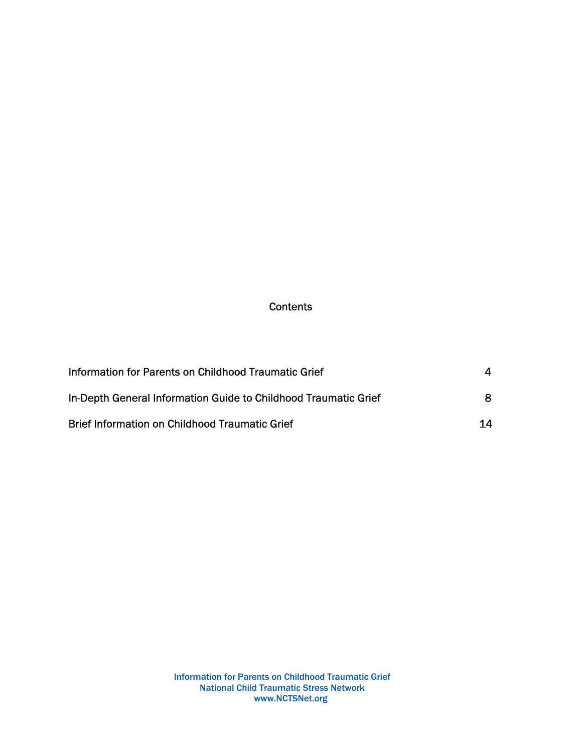# **Contents**

| Information for Parents on Childhood Traumatic Grief            |    |
|-----------------------------------------------------------------|----|
| In-Depth General Information Guide to Childhood Traumatic Grief |    |
| <b>Brief Information on Childhood Traumatic Grief</b>           | 14 |

Information for Parents on Childhood Traumatic Grief National Child Traumatic Stress Network www.NCTSNet.org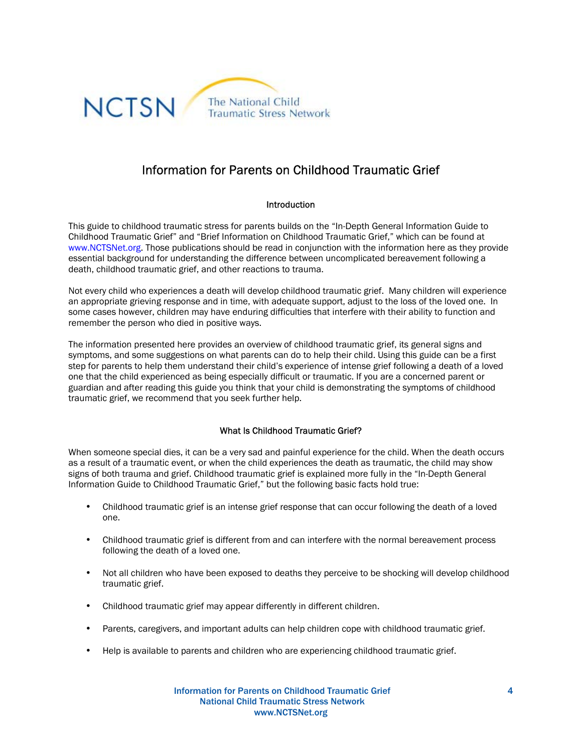

# Information for Parents on Childhood Traumatic Grief

# Introduction

This guide to childhood traumatic stress for parents builds on the "In-Depth General Information Guide to Childhood Traumatic Grief" and "Brief Information on Childhood Traumatic Grief," which can be found at www.NCTSNet.org. Those publications should be read in conjunction with the information here as they provide essential background for understanding the difference between uncomplicated bereavement following a death, childhood traumatic grief, and other reactions to trauma.

Not every child who experiences a death will develop childhood traumatic grief. Many children will experience an appropriate grieving response and in time, with adequate support, adjust to the loss of the loved one. In some cases however, children may have enduring difficulties that interfere with their ability to function and remember the person who died in positive ways.

The information presented here provides an overview of childhood traumatic grief, its general signs and symptoms, and some suggestions on what parents can do to help their child. Using this guide can be a first step for parents to help them understand their child's experience of intense grief following a death of a loved one that the child experienced as being especially difficult or traumatic. If you are a concerned parent or guardian and after reading this guide you think that your child is demonstrating the symptoms of childhood traumatic grief, we recommend that you seek further help.

# What Is Childhood Traumatic Grief?

When someone special dies, it can be a very sad and painful experience for the child. When the death occurs as a result of a traumatic event, or when the child experiences the death as traumatic, the child may show signs of both trauma and grief. Childhood traumatic grief is explained more fully in the "In-Depth General Information Guide to Childhood Traumatic Grief," but the following basic facts hold true:

- Childhood traumatic grief is an intense grief response that can occur following the death of a loved one.
- Childhood traumatic grief is different from and can interfere with the normal bereavement process following the death of a loved one.
- Not all children who have been exposed to deaths they perceive to be shocking will develop childhood traumatic grief.
- Childhood traumatic grief may appear differently in different children.
- Parents, caregivers, and important adults can help children cope with childhood traumatic grief.
- Help is available to parents and children who are experiencing childhood traumatic grief.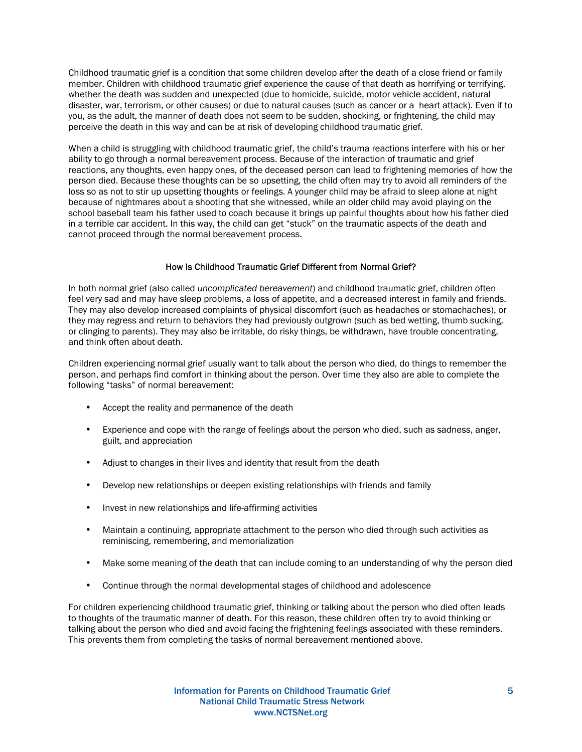Childhood traumatic grief is a condition that some children develop after the death of a close friend or family member. Children with childhood traumatic grief experience the cause of that death as horrifying or terrifying, whether the death was sudden and unexpected (due to homicide, suicide, motor vehicle accident, natural disaster, war, terrorism, or other causes) or due to natural causes (such as cancer or a heart attack). Even if to you, as the adult, the manner of death does not seem to be sudden, shocking, or frightening, the child may perceive the death in this way and can be at risk of developing childhood traumatic grief.

When a child is struggling with childhood traumatic grief, the child's trauma reactions interfere with his or her ability to go through a normal bereavement process. Because of the interaction of traumatic and grief reactions, any thoughts, even happy ones, of the deceased person can lead to frightening memories of how the person died. Because these thoughts can be so upsetting, the child often may try to avoid all reminders of the loss so as not to stir up upsetting thoughts or feelings. A younger child may be afraid to sleep alone at night because of nightmares about a shooting that she witnessed, while an older child may avoid playing on the school baseball team his father used to coach because it brings up painful thoughts about how his father died in a terrible car accident. In this way, the child can get "stuck" on the traumatic aspects of the death and cannot proceed through the normal bereavement process.

## How Is Childhood Traumatic Grief Different from Normal Grief?

In both normal grief (also called *uncomplicated bereavement*) and childhood traumatic grief, children often feel very sad and may have sleep problems, a loss of appetite, and a decreased interest in family and friends. They may also develop increased complaints of physical discomfort (such as headaches or stomachaches), or they may regress and return to behaviors they had previously outgrown (such as bed wetting, thumb sucking, or clinging to parents). They may also be irritable, do risky things, be withdrawn, have trouble concentrating, and think often about death.

Children experiencing normal grief usually want to talk about the person who died, do things to remember the person, and perhaps find comfort in thinking about the person. Over time they also are able to complete the following "tasks" of normal bereavement:

- Accept the reality and permanence of the death
- Experience and cope with the range of feelings about the person who died, such as sadness, anger, guilt, and appreciation
- Adjust to changes in their lives and identity that result from the death
- Develop new relationships or deepen existing relationships with friends and family
- Invest in new relationships and life-affirming activities
- Maintain a continuing, appropriate attachment to the person who died through such activities as reminiscing, remembering, and memorialization
- Make some meaning of the death that can include coming to an understanding of why the person died
- Continue through the normal developmental stages of childhood and adolescence

For children experiencing childhood traumatic grief, thinking or talking about the person who died often leads to thoughts of the traumatic manner of death. For this reason, these children often try to avoid thinking or talking about the person who died and avoid facing the frightening feelings associated with these reminders. This prevents them from completing the tasks of normal bereavement mentioned above.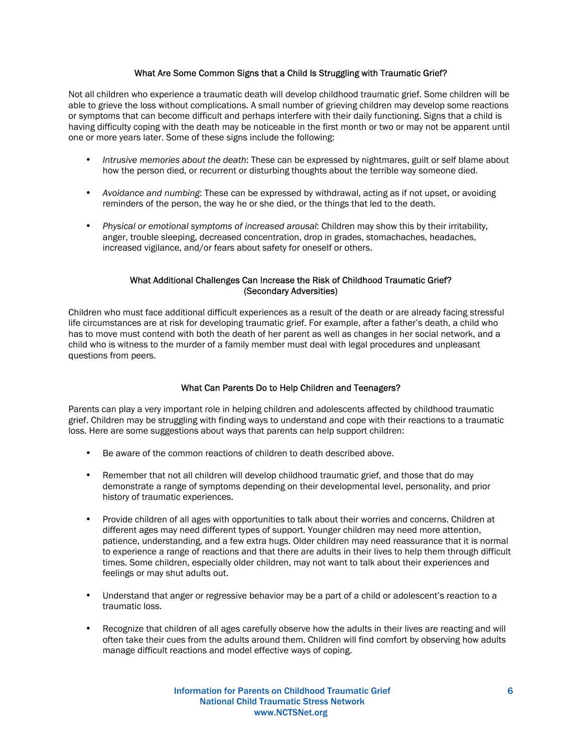# What Are Some Common Signs that a Child Is Struggling with Traumatic Grief?

Not all children who experience a traumatic death will develop childhood traumatic grief. Some children will be able to grieve the loss without complications. A small number of grieving children may develop some reactions or symptoms that can become difficult and perhaps interfere with their daily functioning. Signs that a child is having difficulty coping with the death may be noticeable in the first month or two or may not be apparent until one or more years later. Some of these signs include the following:

- *Intrusive memories about the death*: These can be expressed by nightmares, guilt or self blame about how the person died, or recurrent or disturbing thoughts about the terrible way someone died.
- *Avoidance and numbing*: These can be expressed by withdrawal, acting as if not upset, or avoiding reminders of the person, the way he or she died, or the things that led to the death.
- *Physical or emotional symptoms of increased arousal*: Children may show this by their irritability, anger, trouble sleeping, decreased concentration, drop in grades, stomachaches, headaches, increased vigilance, and/or fears about safety for oneself or others.

## What Additional Challenges Can Increase the Risk of Childhood Traumatic Grief? (Secondary Adversities)

Children who must face additional difficult experiences as a result of the death or are already facing stressful life circumstances are at risk for developing traumatic grief. For example, after a father's death, a child who has to move must contend with both the death of her parent as well as changes in her social network, and a child who is witness to the murder of a family member must deal with legal procedures and unpleasant questions from peers.

## What Can Parents Do to Help Children and Teenagers?

Parents can play a very important role in helping children and adolescents affected by childhood traumatic grief. Children may be struggling with finding ways to understand and cope with their reactions to a traumatic loss. Here are some suggestions about ways that parents can help support children:

- Be aware of the common reactions of children to death described above.
- Remember that not all children will develop childhood traumatic grief, and those that do may demonstrate a range of symptoms depending on their developmental level, personality, and prior history of traumatic experiences.
- Provide children of all ages with opportunities to talk about their worries and concerns. Children at different ages may need different types of support. Younger children may need more attention, patience, understanding, and a few extra hugs. Older children may need reassurance that it is normal to experience a range of reactions and that there are adults in their lives to help them through difficult times. Some children, especially older children, may not want to talk about their experiences and feelings or may shut adults out.
- Understand that anger or regressive behavior may be a part of a child or adolescent's reaction to a traumatic loss.
- Recognize that children of all ages carefully observe how the adults in their lives are reacting and will often take their cues from the adults around them. Children will find comfort by observing how adults manage difficult reactions and model effective ways of coping.

Information for Parents on Childhood Traumatic Grief National Child Traumatic Stress Network www.NCTSNet.org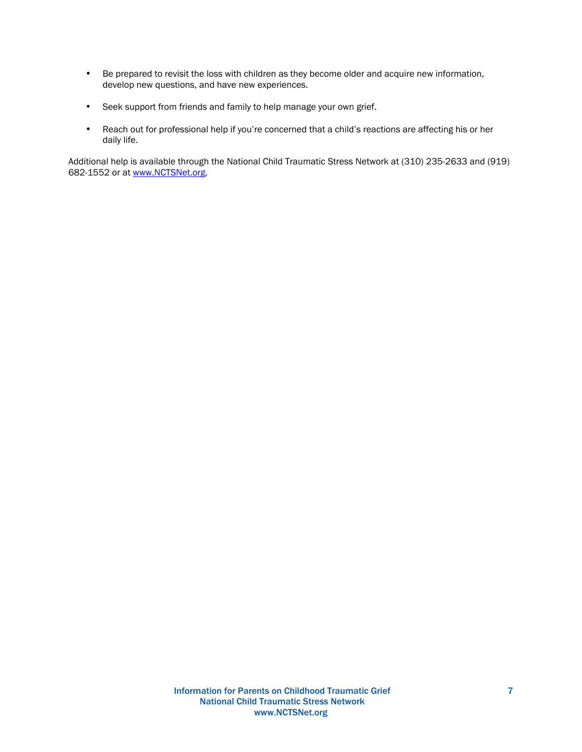- Be prepared to revisit the loss with children as they become older and acquire new information, develop new questions, and have new experiences.
- Seek support from friends and family to help manage your own grief.
- Reach out for professional help if you're concerned that a child's reactions are affecting his or her daily life.

Additional help is available through the National Child Traumatic Stress Network at (310) 235-2633 and (919) 682-1552 or at www.NCTSNet.org.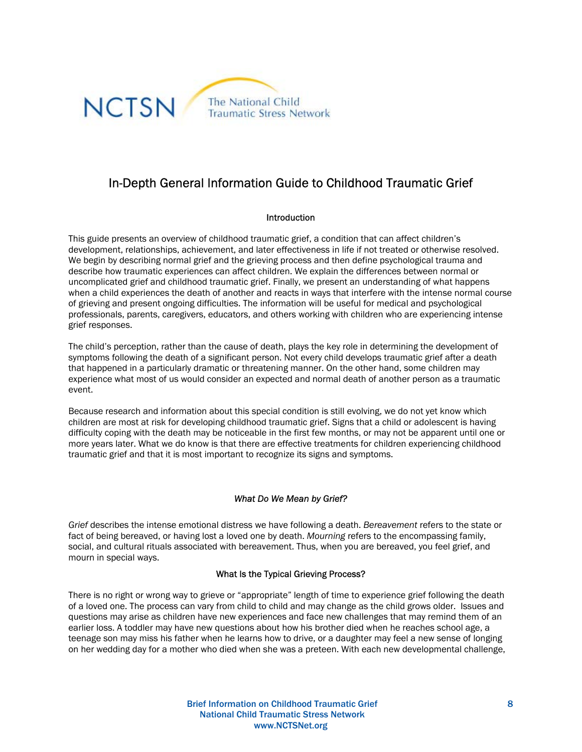

# In-Depth General Information Guide to Childhood Traumatic Grief

## Introduction

This guide presents an overview of childhood traumatic grief, a condition that can affect children's development, relationships, achievement, and later effectiveness in life if not treated or otherwise resolved. We begin by describing normal grief and the grieving process and then define psychological trauma and describe how traumatic experiences can affect children. We explain the differences between normal or uncomplicated grief and childhood traumatic grief. Finally, we present an understanding of what happens when a child experiences the death of another and reacts in ways that interfere with the intense normal course of grieving and present ongoing difficulties. The information will be useful for medical and psychological professionals, parents, caregivers, educators, and others working with children who are experiencing intense grief responses.

The child's perception, rather than the cause of death, plays the key role in determining the development of symptoms following the death of a significant person. Not every child develops traumatic grief after a death that happened in a particularly dramatic or threatening manner. On the other hand, some children may experience what most of us would consider an expected and normal death of another person as a traumatic event.

Because research and information about this special condition is still evolving, we do not yet know which children are most at risk for developing childhood traumatic grief. Signs that a child or adolescent is having difficulty coping with the death may be noticeable in the first few months, or may not be apparent until one or more years later. What we do know is that there are effective treatments for children experiencing childhood traumatic grief and that it is most important to recognize its signs and symptoms.

# *What Do We Mean by Grief?*

*Grief* describes the intense emotional distress we have following a death. *Bereavement* refers to the state or fact of being bereaved, or having lost a loved one by death. *Mourning* refers to the encompassing family, social, and cultural rituals associated with bereavement. Thus, when you are bereaved, you feel grief, and mourn in special ways.

## What Is the Typical Grieving Process?

There is no right or wrong way to grieve or "appropriate" length of time to experience grief following the death of a loved one. The process can vary from child to child and may change as the child grows older. Issues and questions may arise as children have new experiences and face new challenges that may remind them of an earlier loss. A toddler may have new questions about how his brother died when he reaches school age, a teenage son may miss his father when he learns how to drive, or a daughter may feel a new sense of longing on her wedding day for a mother who died when she was a preteen. With each new developmental challenge,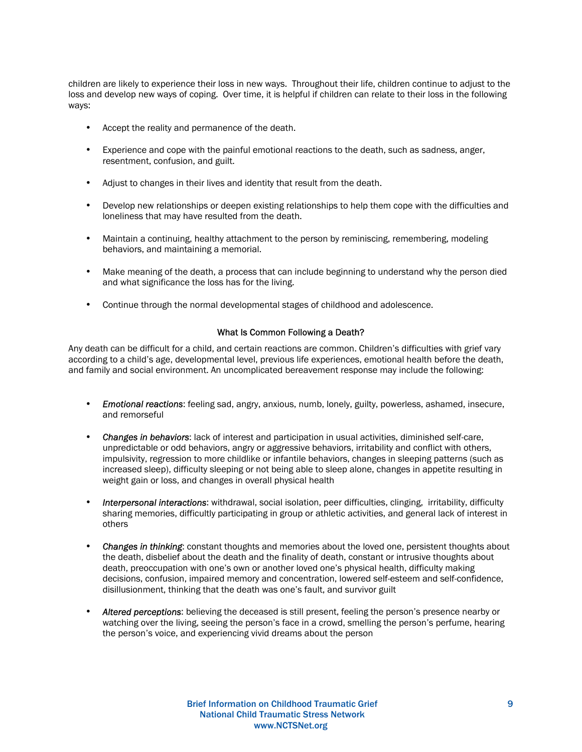children are likely to experience their loss in new ways. Throughout their life, children continue to adjust to the loss and develop new ways of coping. Over time, it is helpful if children can relate to their loss in the following ways:

- Accept the reality and permanence of the death.
- Experience and cope with the painful emotional reactions to the death, such as sadness, anger, resentment, confusion, and guilt.
- Adjust to changes in their lives and identity that result from the death.
- Develop new relationships or deepen existing relationships to help them cope with the difficulties and loneliness that may have resulted from the death.
- Maintain a continuing, healthy attachment to the person by reminiscing, remembering, modeling behaviors, and maintaining a memorial.
- Make meaning of the death, a process that can include beginning to understand why the person died and what significance the loss has for the living.
- Continue through the normal developmental stages of childhood and adolescence.

#### What Is Common Following a Death?

Any death can be difficult for a child, and certain reactions are common. Children's difficulties with grief vary according to a child's age, developmental level, previous life experiences, emotional health before the death, and family and social environment. An uncomplicated bereavement response may include the following:

- *Emotional reactions*: feeling sad, angry, anxious, numb, lonely, guilty, powerless, ashamed, insecure, and remorseful
- *Changes in behaviors*: lack of interest and participation in usual activities, diminished self-care, unpredictable or odd behaviors, angry or aggressive behaviors, irritability and conflict with others, impulsivity, regression to more childlike or infantile behaviors, changes in sleeping patterns (such as increased sleep), difficulty sleeping or not being able to sleep alone, changes in appetite resulting in weight gain or loss, and changes in overall physical health
- *Interpersonal interactions*: withdrawal, social isolation, peer difficulties, clinging, irritability, difficulty sharing memories, difficultly participating in group or athletic activities, and general lack of interest in others
- *Changes in thinking*: constant thoughts and memories about the loved one, persistent thoughts about the death, disbelief about the death and the finality of death, constant or intrusive thoughts about death, preoccupation with one's own or another loved one's physical health, difficulty making decisions, confusion, impaired memory and concentration, lowered self-esteem and self-confidence, disillusionment, thinking that the death was one's fault, and survivor guilt
- *Altered perceptions*: believing the deceased is still present, feeling the person's presence nearby or watching over the living, seeing the person's face in a crowd, smelling the person's perfume, hearing the person's voice, and experiencing vivid dreams about the person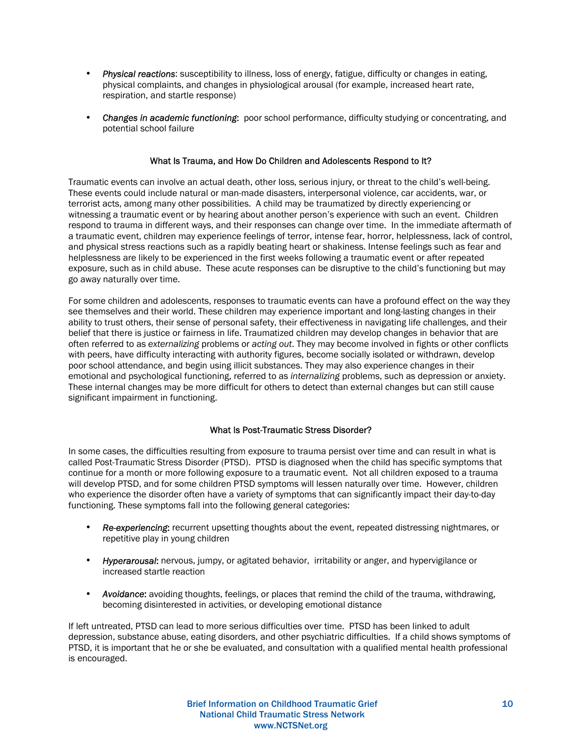- *Physical reactions*: susceptibility to illness, loss of energy, fatigue, difficulty or changes in eating, physical complaints, and changes in physiological arousal (for example, increased heart rate, respiration, and startle response)
- *Changes in academic functioning*: poor school performance, difficulty studying or concentrating, and potential school failure

# What Is Trauma, and How Do Children and Adolescents Respond to It?

Traumatic events can involve an actual death, other loss, serious injury, or threat to the child's well-being. These events could include natural or man-made disasters, interpersonal violence, car accidents, war, or terrorist acts, among many other possibilities. A child may be traumatized by directly experiencing or witnessing a traumatic event or by hearing about another person's experience with such an event. Children respond to trauma in different ways, and their responses can change over time. In the immediate aftermath of a traumatic event, children may experience feelings of terror, intense fear, horror, helplessness, lack of control, and physical stress reactions such as a rapidly beating heart or shakiness. Intense feelings such as fear and helplessness are likely to be experienced in the first weeks following a traumatic event or after repeated exposure, such as in child abuse. These acute responses can be disruptive to the child's functioning but may go away naturally over time.

For some children and adolescents, responses to traumatic events can have a profound effect on the way they see themselves and their world. These children may experience important and long-lasting changes in their ability to trust others, their sense of personal safety, their effectiveness in navigating life challenges, and their belief that there is justice or fairness in life. Traumatized children may develop changes in behavior that are often referred to as *externalizing* problems or *acting out*. They may become involved in fights or other conflicts with peers, have difficulty interacting with authority figures, become socially isolated or withdrawn, develop poor school attendance, and begin using illicit substances. They may also experience changes in their emotional and psychological functioning, referred to as *internalizing* problems, such as depression or anxiety. These internal changes may be more difficult for others to detect than external changes but can still cause significant impairment in functioning.

## What Is Post-Traumatic Stress Disorder?

In some cases, the difficulties resulting from exposure to trauma persist over time and can result in what is called Post-Traumatic Stress Disorder (PTSD). PTSD is diagnosed when the child has specific symptoms that continue for a month or more following exposure to a traumatic event. Not all children exposed to a trauma will develop PTSD, and for some children PTSD symptoms will lessen naturally over time. However, children who experience the disorder often have a variety of symptoms that can significantly impact their day-to-day functioning. These symptoms fall into the following general categories:

- *Re-experiencing*: recurrent upsetting thoughts about the event, repeated distressing nightmares, or repetitive play in young children
- *Hyperarousal*: nervous, jumpy, or agitated behavior, irritability or anger, and hypervigilance or increased startle reaction
- *Avoidance*: avoiding thoughts, feelings, or places that remind the child of the trauma, withdrawing, becoming disinterested in activities, or developing emotional distance

If left untreated, PTSD can lead to more serious difficulties over time. PTSD has been linked to adult depression, substance abuse, eating disorders, and other psychiatric difficulties. If a child shows symptoms of PTSD, it is important that he or she be evaluated, and consultation with a qualified mental health professional is encouraged.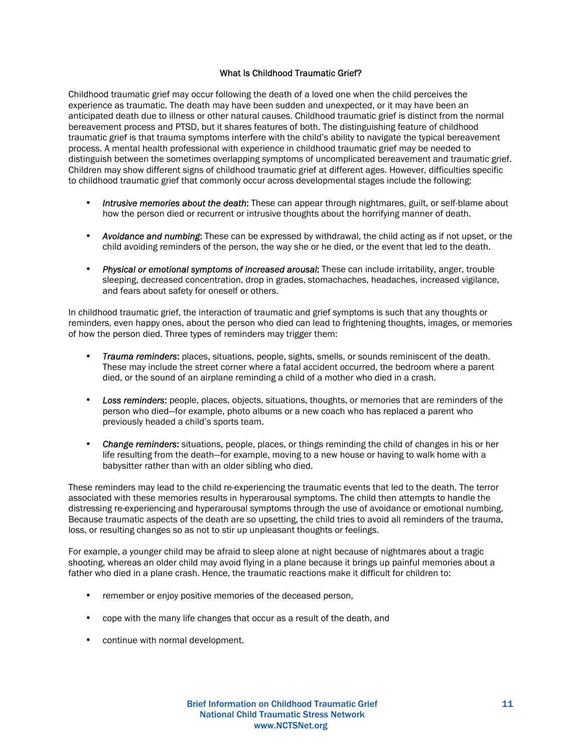# What Is Childhood Traumatic Grief?

Childhood traumatic grief may occur following the death of a loved one when the child perceives the experience as traumatic. The death may have been sudden and unexpected, or it may have been an anticipated death due to illness or other natural causes. Childhood traumatic grief is distinct from the normal bereavement process and PTSD, but it shares features of both. The distinguishing feature of childhood traumatic grief is that trauma symptoms interfere with the child's ability to navigate the typical bereavement process. A mental health professional with experience in childhood traumatic grief may be needed to distinguish between the sometimes overlapping symptoms of uncomplicated bereavement and traumatic grief. Children may show different signs of childhood traumatic grief at different ages. However, difficulties specific to childhood traumatic grief that commonly occur across developmental stages include the following:

- *Intrusive memories about the death*: These can appear through nightmares, guilt, or self-blame about how the person died or recurrent or intrusive thoughts about the horrifying manner of death.
- *Avoidance and numbing*: These can be expressed by withdrawal, the child acting as if not upset, or the child avoiding reminders of the person, the way she or he died, or the event that led to the death.
- *Physical or emotional symptoms of increased arousal*: These can include irritability, anger, trouble sleeping, decreased concentration, drop in grades, stomachaches, headaches, increased vigilance, and fears about safety for oneself or others.

In childhood traumatic grief, the interaction of traumatic and grief symptoms is such that any thoughts or reminders, even happy ones, about the person who died can lead to frightening thoughts, images, or memories of how the person died. Three types of reminders may trigger them:

- *Trauma reminders*: places, situations, people, sights, smells, or sounds reminiscent of the death. These may include the street corner where a fatal accident occurred, the bedroom where a parent died, or the sound of an airplane reminding a child of a mother who died in a crash.
- *Loss reminders*: people, places, objects, situations, thoughts, or memories that are reminders of the person who died—for example, photo albums or a new coach who has replaced a parent who previously headed a child's sports team.
- *Change reminders*: situations, people, places, or things reminding the child of changes in his or her life resulting from the death—for example, moving to a new house or having to walk home with a babysitter rather than with an older sibling who died.

These reminders may lead to the child re-experiencing the traumatic events that led to the death. The terror associated with these memories results in hyperarousal symptoms. The child then attempts to handle the distressing re-experiencing and hyperarousal symptoms through the use of avoidance or emotional numbing. Because traumatic aspects of the death are so upsetting, the child tries to avoid all reminders of the trauma, loss, or resulting changes so as not to stir up unpleasant thoughts or feelings.

For example, a younger child may be afraid to sleep alone at night because of nightmares about a tragic shooting, whereas an older child may avoid flying in a plane because it brings up painful memories about a father who died in a plane crash. Hence, the traumatic reactions make it difficult for children to:

- remember or enjoy positive memories of the deceased person,
- cope with the many life changes that occur as a result of the death, and
- continue with normal development.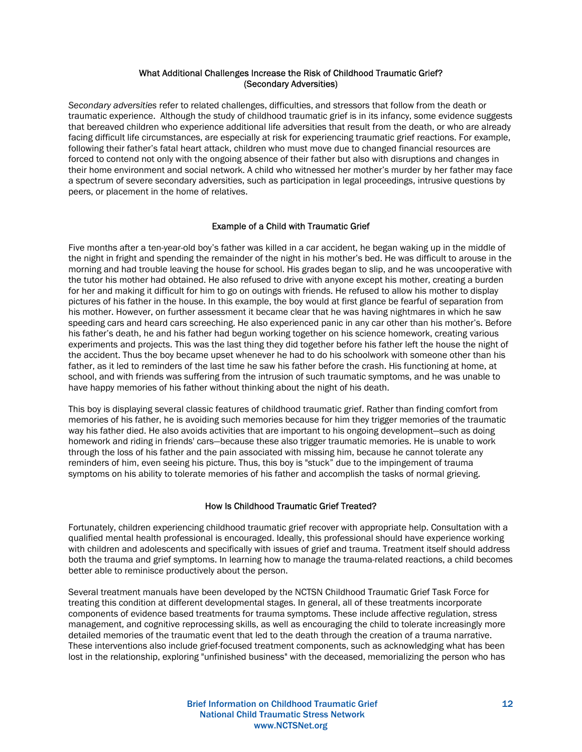## What Additional Challenges Increase the Risk of Childhood Traumatic Grief? (Secondary Adversities)

*Secondary adversities* refer to related challenges, difficulties, and stressors that follow from the death or traumatic experience. Although the study of childhood traumatic grief is in its infancy, some evidence suggests that bereaved children who experience additional life adversities that result from the death, or who are already facing difficult life circumstances, are especially at risk for experiencing traumatic grief reactions. For example, following their father's fatal heart attack, children who must move due to changed financial resources are forced to contend not only with the ongoing absence of their father but also with disruptions and changes in their home environment and social network. A child who witnessed her mother's murder by her father may face a spectrum of severe secondary adversities, such as participation in legal proceedings, intrusive questions by peers, or placement in the home of relatives.

# Example of a Child with Traumatic Grief

Five months after a ten-year-old boy's father was killed in a car accident, he began waking up in the middle of the night in fright and spending the remainder of the night in his mother's bed. He was difficult to arouse in the morning and had trouble leaving the house for school. His grades began to slip, and he was uncooperative with the tutor his mother had obtained. He also refused to drive with anyone except his mother, creating a burden for her and making it difficult for him to go on outings with friends. He refused to allow his mother to display pictures of his father in the house. In this example, the boy would at first glance be fearful of separation from his mother. However, on further assessment it became clear that he was having nightmares in which he saw speeding cars and heard cars screeching. He also experienced panic in any car other than his mother's. Before his father's death, he and his father had begun working together on his science homework, creating various experiments and projects. This was the last thing they did together before his father left the house the night of the accident. Thus the boy became upset whenever he had to do his schoolwork with someone other than his father, as it led to reminders of the last time he saw his father before the crash. His functioning at home, at school, and with friends was suffering from the intrusion of such traumatic symptoms, and he was unable to have happy memories of his father without thinking about the night of his death.

This boy is displaying several classic features of childhood traumatic grief. Rather than finding comfort from memories of his father, he is avoiding such memories because for him they trigger memories of the traumatic way his father died. He also avoids activities that are important to his ongoing development—such as doing homework and riding in friends' cars—because these also trigger traumatic memories. He is unable to work through the loss of his father and the pain associated with missing him, because he cannot tolerate any reminders of him, even seeing his picture. Thus, this boy is "stuck" due to the impingement of trauma symptoms on his ability to tolerate memories of his father and accomplish the tasks of normal grieving.

## How Is Childhood Traumatic Grief Treated?

Fortunately, children experiencing childhood traumatic grief recover with appropriate help. Consultation with a qualified mental health professional is encouraged. Ideally, this professional should have experience working with children and adolescents and specifically with issues of grief and trauma. Treatment itself should address both the trauma and grief symptoms. In learning how to manage the trauma-related reactions, a child becomes better able to reminisce productively about the person.

Several treatment manuals have been developed by the NCTSN Childhood Traumatic Grief Task Force for treating this condition at different developmental stages. In general, all of these treatments incorporate components of evidence based treatments for trauma symptoms. These include affective regulation, stress management, and cognitive reprocessing skills, as well as encouraging the child to tolerate increasingly more detailed memories of the traumatic event that led to the death through the creation of a trauma narrative. These interventions also include grief-focused treatment components, such as acknowledging what has been lost in the relationship, exploring "unfinished business" with the deceased, memorializing the person who has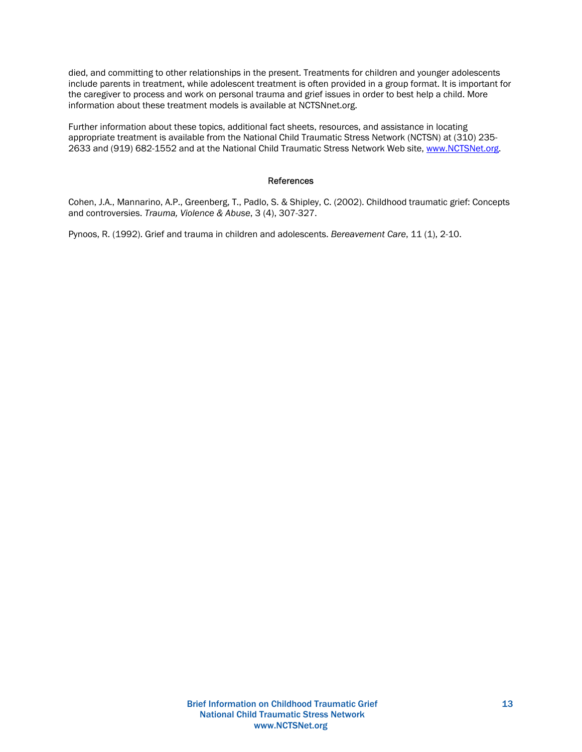died, and committing to other relationships in the present. Treatments for children and younger adolescents include parents in treatment, while adolescent treatment is often provided in a group format. It is important for the caregiver to process and work on personal trauma and grief issues in order to best help a child. More information about these treatment models is available at NCTSNnet.org.

Further information about these topics, additional fact sheets, resources, and assistance in locating appropriate treatment is available from the National Child Traumatic Stress Network (NCTSN) at (310) 235- 2633 and (919) 682-1552 and at the National Child Traumatic Stress Network Web site, www.NCTSNet.org.

#### References

Cohen, J.A., Mannarino, A.P., Greenberg, T., Padlo, S. & Shipley, C. (2002). Childhood traumatic grief: Concepts and controversies. *Trauma, Violence & Abuse*, 3 (4), 307-327.

Pynoos, R. (1992). Grief and trauma in children and adolescents. *Bereavement Care*, 11 (1), 2-10.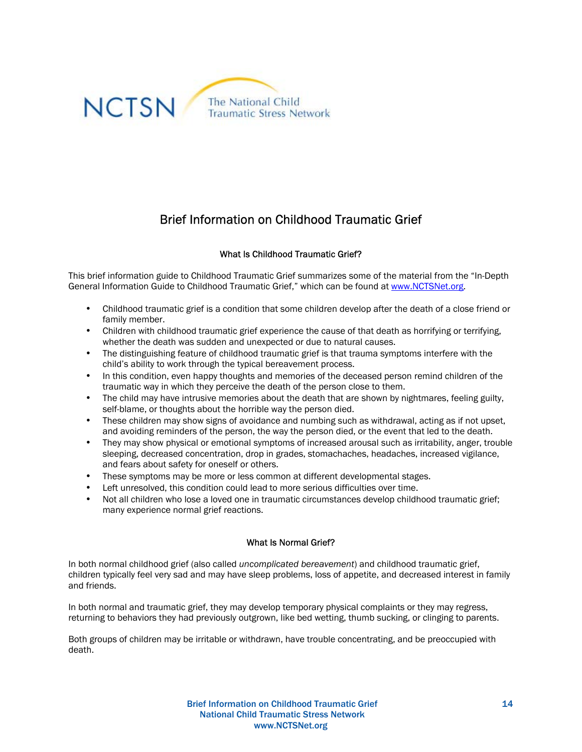

# Brief Information on Childhood Traumatic Grief

# What Is Childhood Traumatic Grief?

This brief information guide to Childhood Traumatic Grief summarizes some of the material from the "In-Depth General Information Guide to Childhood Traumatic Grief," which can be found at www.NCTSNet.org.

- Childhood traumatic grief is a condition that some children develop after the death of a close friend or family member.
- Children with childhood traumatic grief experience the cause of that death as horrifying or terrifying. whether the death was sudden and unexpected or due to natural causes.
- The distinguishing feature of childhood traumatic grief is that trauma symptoms interfere with the child's ability to work through the typical bereavement process.
- In this condition, even happy thoughts and memories of the deceased person remind children of the traumatic way in which they perceive the death of the person close to them.
- The child may have intrusive memories about the death that are shown by nightmares, feeling guilty, self-blame, or thoughts about the horrible way the person died.
- These children may show signs of avoidance and numbing such as withdrawal, acting as if not upset, and avoiding reminders of the person, the way the person died, or the event that led to the death.
- They may show physical or emotional symptoms of increased arousal such as irritability, anger, trouble sleeping, decreased concentration, drop in grades, stomachaches, headaches, increased vigilance, and fears about safety for oneself or others.
- These symptoms may be more or less common at different developmental stages.
- Left unresolved, this condition could lead to more serious difficulties over time.
- Not all children who lose a loved one in traumatic circumstances develop childhood traumatic grief; many experience normal grief reactions.

## What Is Normal Grief?

In both normal childhood grief (also called *uncomplicated bereavement*) and childhood traumatic grief, children typically feel very sad and may have sleep problems, loss of appetite, and decreased interest in family and friends.

In both normal and traumatic grief, they may develop temporary physical complaints or they may regress, returning to behaviors they had previously outgrown, like bed wetting, thumb sucking, or clinging to parents.

Both groups of children may be irritable or withdrawn, have trouble concentrating, and be preoccupied with death.